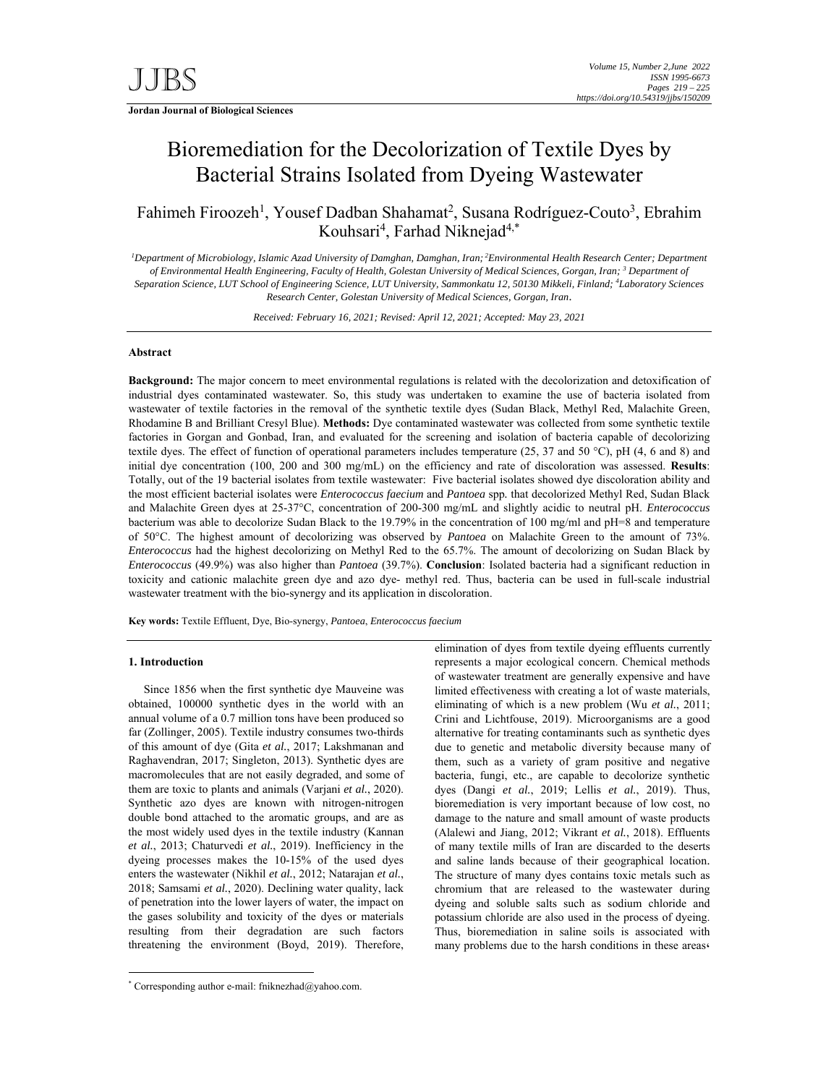**Jordan Journal of Biological Sciences** 

# Bioremediation for the Decolorization of Textile Dyes by Bacterial Strains Isolated from Dyeing Wastewater

Fahimeh Firoozeh<sup>1</sup>, Yousef Dadban Shahamat<sup>2</sup>, Susana Rodríguez-Couto<sup>3</sup>, Ebrahim Kouhsari<sup>4</sup>, Farhad Niknejad<sup>4,\*</sup>

*1 Department of Microbiology, Islamic Azad University of Damghan, Damghan, Iran; 2Environmental Health Research Center; Department of Environmental Health Engineering, Faculty of Health, Golestan University of Medical Sciences, Gorgan, Iran; 3 Department of Separation Science, LUT School of Engineering Science, LUT University, Sammonkatu 12, 50130 Mikkeli, Finland; 4 Laboratory Sciences Research Center, Golestan University of Medical Sciences, Gorgan, Iran*.

*Received: February 16, 2021; Revised: April 12, 2021; Accepted: May 23, 2021* 

# **Abstract**

**Background:** The major concern to meet environmental regulations is related with the decolorization and detoxification of industrial dyes contaminated wastewater. So, this study was undertaken to examine the use of bacteria isolated from wastewater of textile factories in the removal of the synthetic textile dyes (Sudan Black, Methyl Red, Malachite Green, Rhodamine B and Brilliant Cresyl Blue). **Methods:** Dye contaminated wastewater was collected from some synthetic textile factories in Gorgan and Gonbad, Iran, and evaluated for the screening and isolation of bacteria capable of decolorizing textile dyes. The effect of function of operational parameters includes temperature (25, 37 and 50 °C), pH (4, 6 and 8) and initial dye concentration (100, 200 and 300 mg/mL) on the efficiency and rate of discoloration was assessed. **Results**: Totally, out of the 19 bacterial isolates from textile wastewater: Five bacterial isolates showed dye discoloration ability and the most efficient bacterial isolates were *Enterococcus faecium* and *Pantoea* spp*.* that decolorized Methyl Red, Sudan Black and Malachite Green dyes at 25-37°C, concentration of 200-300 mg/mL and slightly acidic to neutral pH. *Enterococcus* bacterium was able to decolorize Sudan Black to the 19.79% in the concentration of 100 mg/ml and pH=8 and temperature of 50°C. The highest amount of decolorizing was observed by *Pantoea* on Malachite Green to the amount of 73%. *Enterococcus* had the highest decolorizing on Methyl Red to the 65.7%. The amount of decolorizing on Sudan Black by *Enterococcus* (49.9%) was also higher than *Pantoea* (39.7%). **Conclusion**: Isolated bacteria had a significant reduction in toxicity and cationic malachite green dye and azo dye- methyl red. Thus, bacteria can be used in full-scale industrial wastewater treatment with the bio-synergy and its application in discoloration.

**Key words:** Textile Effluent, Dye, Bio-synergy, *Pantoea*, *Enterococcus faecium* 

## **1. Introduction**

-

Since 1856 when the first synthetic dye Mauveine was obtained, 100000 synthetic dyes in the world with an annual volume of a 0.7 million tons have been produced so far (Zollinger, 2005). Textile industry consumes two-thirds of this amount of dye (Gita *et al.*, 2017; Lakshmanan and Raghavendran, 2017; Singleton, 2013). Synthetic dyes are macromolecules that are not easily degraded, and some of them are toxic to plants and animals (Varjani *et al.*, 2020). Synthetic azo dyes are known with nitrogen-nitrogen double bond attached to the aromatic groups, and are as the most widely used dyes in the textile industry (Kannan *et al.*, 2013; Chaturvedi *et al.*, 2019). Inefficiency in the dyeing processes makes the 10-15% of the used dyes enters the wastewater (Nikhil *et al.*, 2012; Natarajan *et al.*, 2018; Samsami *et al.*, 2020). Declining water quality, lack of penetration into the lower layers of water, the impact on the gases solubility and toxicity of the dyes or materials resulting from their degradation are such factors threatening the environment (Boyd, 2019). Therefore, elimination of dyes from textile dyeing effluents currently represents a major ecological concern. Chemical methods of wastewater treatment are generally expensive and have limited effectiveness with creating a lot of waste materials, eliminating of which is a new problem (Wu *et al.*, 2011; Crini and Lichtfouse, 2019). Microorganisms are a good alternative for treating contaminants such as synthetic dyes due to genetic and metabolic diversity because many of them, such as a variety of gram positive and negative bacteria, fungi, etc., are capable to decolorize synthetic dyes (Dangi *et al.*, 2019; Lellis *et al.*, 2019). Thus, bioremediation is very important because of low cost, no damage to the nature and small amount of waste products (Alalewi and Jiang, 2012; Vikrant *et al.*, 2018). Effluents of many textile mills of Iran are discarded to the deserts and saline lands because of their geographical location. The structure of many dyes contains toxic metals such as chromium that are released to the wastewater during dyeing and soluble salts such as sodium chloride and potassium chloride are also used in the process of dyeing. Thus, bioremediation in saline soils is associated with many problems due to the harsh conditions in these areas،

<sup>\*</sup> Corresponding author e-mail: fniknezhad@yahoo.com.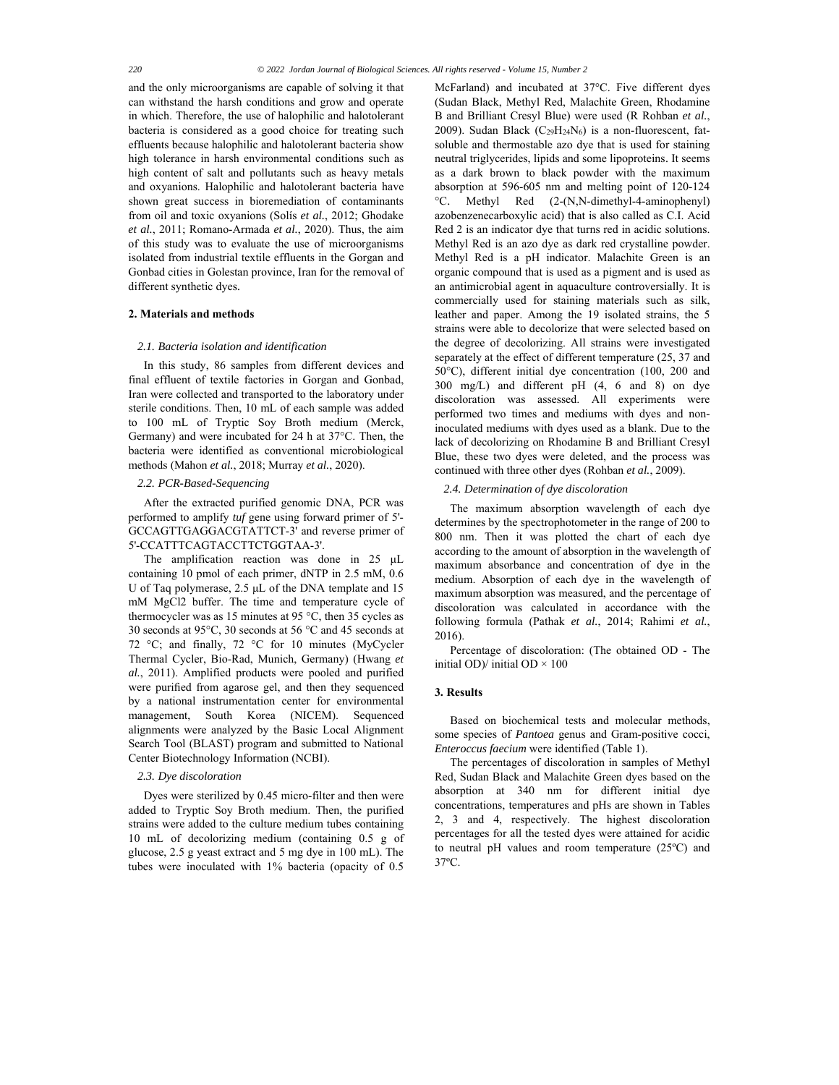and the only microorganisms are capable of solving it that can withstand the harsh conditions and grow and operate in which. Therefore, the use of halophilic and halotolerant bacteria is considered as a good choice for treating such effluents because halophilic and halotolerant bacteria show high tolerance in harsh environmental conditions such as high content of salt and pollutants such as heavy metals and oxyanions. Halophilic and halotolerant bacteria have shown great success in bioremediation of contaminants from oil and toxic oxyanions (Solís *et al.*, 2012; Ghodake *et al.*, 2011; Romano-Armada *et al.*, 2020). Thus, the aim of this study was to evaluate the use of microorganisms isolated from industrial textile effluents in the Gorgan and Gonbad cities in Golestan province, Iran for the removal of different synthetic dyes.

## **2. Materials and methods**

## *2.1. Bacteria isolation and identification*

In this study, 86 samples from different devices and final effluent of textile factories in Gorgan and Gonbad, Iran were collected and transported to the laboratory under sterile conditions. Then, 10 mL of each sample was added to 100 mL of Tryptic Soy Broth medium (Merck, Germany) and were incubated for 24 h at 37°C. Then, the bacteria were identified as conventional microbiological methods (Mahon *et al.*, 2018; Murray *et al.*, 2020).

# *2.2. PCR-Based-Sequencing*

After the extracted purified genomic DNA, PCR was performed to amplify *tuf* gene using forward primer of 5'- GCCAGTTGAGGACGTATTCT-3' and reverse primer of 5'-CCATTTCAGTACCTTCTGGTAA-3'.

The amplification reaction was done in 25 μL containing 10 pmol of each primer, dNTP in 2.5 mM, 0.6 U of Taq polymerase, 2.5 μL of the DNA template and 15 mM MgCl2 buffer. The time and temperature cycle of thermocycler was as 15 minutes at 95 °C, then 35 cycles as 30 seconds at 95°C, 30 seconds at 56 °C and 45 seconds at 72 °C; and finally, 72 °C for 10 minutes (MyCycler Thermal Cycler, Bio-Rad, Munich, Germany) (Hwang *et al.*, 2011). Amplified products were pooled and purified were purified from agarose gel, and then they sequenced by a national instrumentation center for environmental management, South Korea (NICEM). Sequenced alignments were analyzed by the Basic Local Alignment Search Tool (BLAST) program and submitted to National Center Biotechnology Information (NCBI).

## *2.3. Dye discoloration*

Dyes were sterilized by 0.45 micro-filter and then were added to Tryptic Soy Broth medium. Then, the purified strains were added to the culture medium tubes containing 10 mL of decolorizing medium (containing 0.5 g of glucose, 2.5 g yeast extract and 5 mg dye in 100 mL). The tubes were inoculated with 1% bacteria (opacity of 0.5

McFarland) and incubated at 37°C. Five different dyes (Sudan Black, Methyl Red, Malachite Green, Rhodamine B and Brilliant Cresyl Blue) were used (R Rohban *et al.*, 2009). Sudan Black (C<sub>29</sub>H<sub>24</sub>N<sub>6</sub>) is a non-fluorescent, fatsoluble and thermostable azo dye that is used for staining neutral triglycerides, lipids and some lipoproteins. It seems as a dark brown to black powder with the maximum absorption at 596-605 nm and melting point of 120-124 °C. Methyl Red (2-(N,N-dimethyl-4-aminophenyl) azobenzenecarboxylic acid) that is also called as C.I. Acid Red 2 is an indicator dye that turns red in acidic solutions. Methyl Red is an azo dye as dark red crystalline powder. Methyl Red is a pH indicator. Malachite Green is an organic compound that is used as a pigment and is used as an antimicrobial agent in aquaculture controversially. It is commercially used for staining materials such as silk, leather and paper. Among the 19 isolated strains, the 5 strains were able to decolorize that were selected based on the degree of decolorizing. All strains were investigated separately at the effect of different temperature (25, 37 and 50°C), different initial dye concentration (100, 200 and 300 mg/L) and different pH (4, 6 and 8) on dye discoloration was assessed. All experiments were performed two times and mediums with dyes and noninoculated mediums with dyes used as a blank. Due to the lack of decolorizing on Rhodamine B and Brilliant Cresyl Blue, these two dyes were deleted, and the process was continued with three other dyes (Rohban *et al.*, 2009).

# *2.4. Determination of dye discoloration*

The maximum absorption wavelength of each dye determines by the spectrophotometer in the range of 200 to 800 nm. Then it was plotted the chart of each dye according to the amount of absorption in the wavelength of maximum absorbance and concentration of dye in the medium. Absorption of each dye in the wavelength of maximum absorption was measured, and the percentage of discoloration was calculated in accordance with the following formula (Pathak *et al.*, 2014; Rahimi *et al.*, 2016).

Percentage of discoloration: (The obtained OD - The initial OD)/ initial OD  $\times$  100

# **3. Results**

Based on biochemical tests and molecular methods, some species of *Pantoea* genus and Gram-positive cocci, *Enteroccus faecium* were identified (Table 1).

The percentages of discoloration in samples of Methyl Red, Sudan Black and Malachite Green dyes based on the absorption at 340 nm for different initial dye concentrations, temperatures and pHs are shown in Tables 2, 3 and 4, respectively. The highest discoloration percentages for all the tested dyes were attained for acidic to neutral pH values and room temperature (25ºC) and 37ºC.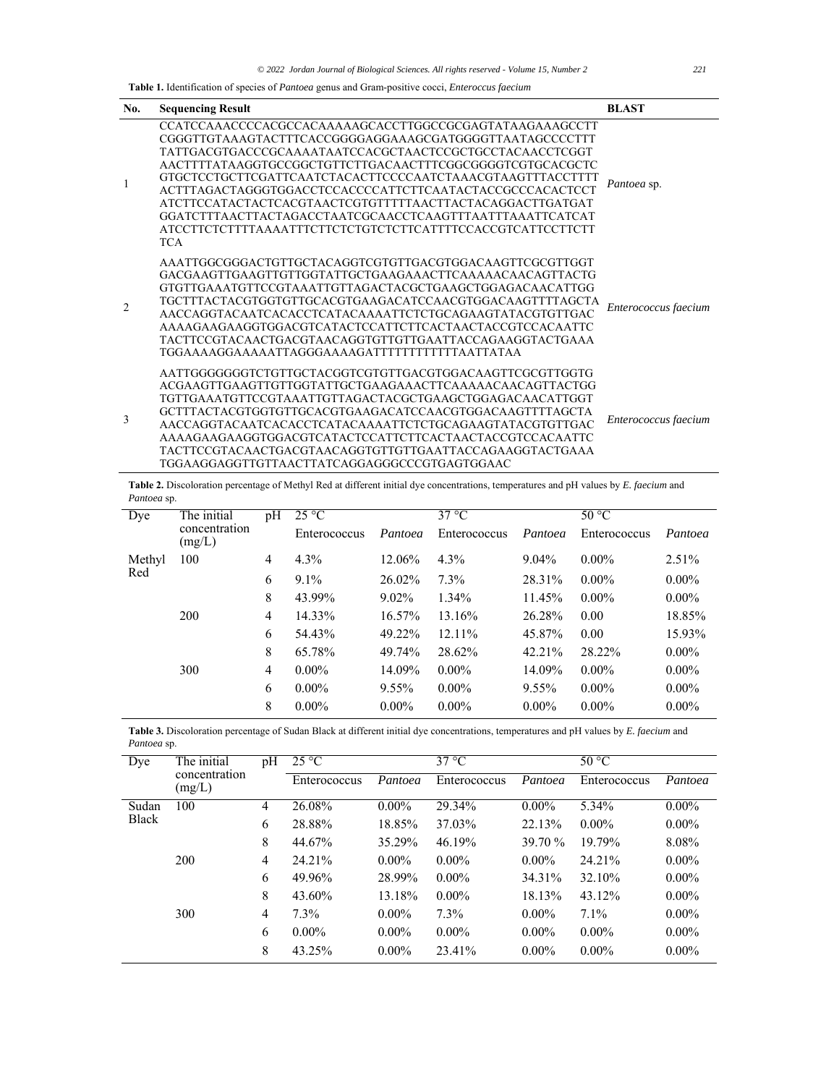**Table 1.** Identification of species of *Pantoea* genus and Gram-positive cocci, *Enteroccus faecium*

| No.            | <b>Sequencing Result</b>                                                                                                                                                                                                                                                                                                                                                                                                                                                                                                                                                | <b>BLAST</b>         |
|----------------|-------------------------------------------------------------------------------------------------------------------------------------------------------------------------------------------------------------------------------------------------------------------------------------------------------------------------------------------------------------------------------------------------------------------------------------------------------------------------------------------------------------------------------------------------------------------------|----------------------|
|                | CCATCCAAACCCCACGCCACAAAAAGCACCTTGGCCGCGAGTATAAGAAAGCCTT<br>CGGGTTGTAAAGTACTTTCACCGGGGAAGGAAAGCGATGGGGTTAATAGCCCCTTT<br>TATTGACGTGACCCGCAAAATAATCCACGCTAACTCCGCTGCCTACAACCTCGGT<br>AACTTTTATAAGGTGCCGGCTGTTCTTGACAACTTTCGGCGGGGTCGTGCACGCTC<br>GTGCTCCTGCTTCGATTCAATCTACACTTCCCCAATCTAAACGTAAGTTTACCTTTT<br>ACTTTAGACTAGGGTGGACCTCCACCCCATTCTTCAATACTACCGCCCACACTCCT<br>ATCTTCCATACTACTCACGTAACTCGTGTTTTTAACTTACTACAGGACTTGATGAT<br>GGATCTTTAACTTACTAGACCTAATCGCAACCTCAAGTTTAATTTAAATTCATCAT<br>ATCCTTCTCTTTTAAAATTTCTTCTCTGTCTCTTCATTTTCCACCGTCATTCCTTCTT<br><b>TCA</b> | Pantoea sp.          |
| $\overline{2}$ | AAATTGGCGGGACTGTTGCTACAGGTCGTGTTGACGTGGACAAGTTCGCGTTGGT<br>GACGAAGTTGAAGTTGTTGGTATTGCTGAAGAAACTTCAAAAACAACAGTTACTG<br>GTGTTGAAATGTTCCGTAAATTGTTAGACTACGCTGAAGCTGGAGACAACATTGG<br>TGCTTTACTACGTGGTGTTGCACGTGAAGACATCCAACGTGGACAAGTTTTAGCTA<br>AACCAGGTACAATCACACCTCATACAAAATTCTCTGCAGAAGTATACGTGTTGAC<br>TACTTCCGTACAACTGACGTAACAGGTGTTGTTGAATTACCAGAAGGTACTGAAA<br>TGGAAAAGGAAAAATTAGGGAAAAGATTTTTTTTTTTAATTATAA                                                                                                                                                        | Enterococcus faecium |
| 3              | AATTGGGGGGGTCTGTTGCTACGGTCGTGTTGACGTGGACAAGTTCGCGTTGGTG<br>ACGAAGTTGAAGTTGTTGGTATTGCTGAAGAAACTTCAAAAACAACAGTTACTGG<br>TGTTGAAATGTTCCGTAAATTGTTAGACTACGCTGAAGCTGGAGACAACATTGGT<br>GCTTTACTACGTGGTGTTGCACGTGAAGACATCCAACGTGGACAAGTTTTAGCTA<br>AACCAGGTACAATCACACCTCATACAAAATTCTCTGCAGAAGTATACGTGTTGAC<br>TACTTCCGTACAACTGACGTAACAGGTGTTGTTGAATTACCAGAAGGTACTGAAA<br>TGGAAGGAGGTTGTTAACTTATCAGGAGGGCCCGTGAGTGGAAC                                                                                                                                                          | Enterococcus faecium |

**Table 2.** Discoloration percentage of Methyl Red at different initial dye concentrations, temperatures and pH values by *E. faecium* and *Pantoea* sp.

| Dye    | The initial<br>concentration<br>(mg/L) | pH | $25^{\circ}$ C | $37^{\circ}$ C |              |          | $50\,\mathrm{°C}$ |          |
|--------|----------------------------------------|----|----------------|----------------|--------------|----------|-------------------|----------|
|        |                                        |    | Enterococcus   | Pantoea        | Enterococcus | Pantoea  | Enterococcus      | Pantoea  |
| Methyl | 100                                    | 4  | 4.3%           | 12.06%         | $4.3\%$      | $9.04\%$ | $0.00\%$          | 2.51%    |
| Red    |                                        | 6  | $9.1\%$        | 26.02%         | $7.3\%$      | 28.31%   | $0.00\%$          | $0.00\%$ |
|        |                                        | 8  | 43.99%         | $9.02\%$       | 1.34%        | 11.45%   | $0.00\%$          | $0.00\%$ |
|        | 200                                    | 4  | 14.33%         | 16.57%         | 13.16%       | 26.28%   | 0.00              | 18.85%   |
|        |                                        | 6  | 54.43%         | 49.22%         | $12.11\%$    | 45.87%   | 0.00              | 15.93%   |
|        |                                        | 8  | 65.78%         | 49.74%         | 28.62%       | 42.21%   | 28.22%            | $0.00\%$ |
|        | 300                                    | 4  | $0.00\%$       | 14.09%         | $0.00\%$     | 14.09%   | $0.00\%$          | $0.00\%$ |
|        |                                        | 6  | $0.00\%$       | $9.55\%$       | $0.00\%$     | $9.55\%$ | $0.00\%$          | $0.00\%$ |
|        |                                        | 8  | $0.00\%$       | $0.00\%$       | $0.00\%$     | $0.00\%$ | $0.00\%$          | $0.00\%$ |

**Table 3.** Discoloration percentage of Sudan Black at different initial dye concentrations, temperatures and pH values by *E. faecium* and *Pantoea* sp.

| Dye          | The initial<br>concentration<br>(mg/L) | pH             | $25^{\circ}$ C |          | $37^{\circ}$ C |          | $50^{\circ}$ C |          |
|--------------|----------------------------------------|----------------|----------------|----------|----------------|----------|----------------|----------|
|              |                                        |                | Enterococcus   | Pantoea  | Enterococcus   | Pantoea  | Enterococcus   | Pantoea  |
| Sudan        | 100                                    | 4              | 26.08%         | $0.00\%$ | 29.34%         | $0.00\%$ | 5.34%          | $0.00\%$ |
| <b>Black</b> |                                        | 6              | 28.88%         | 18.85%   | 37.03%         | 22.13%   | $0.00\%$       | $0.00\%$ |
|              |                                        | 8              | 44.67%         | 35.29%   | 46.19%         | 39.70 %  | 19.79%         | 8.08%    |
|              | 200                                    | $\overline{4}$ | 24.21%         | $0.00\%$ | $0.00\%$       | $0.00\%$ | 24.21%         | $0.00\%$ |
|              |                                        | 6              | 49.96%         | 28.99%   | $0.00\%$       | 34.31%   | 32.10%         | $0.00\%$ |
|              |                                        | 8              | 43.60%         | 13.18%   | $0.00\%$       | 18.13%   | 43.12%         | $0.00\%$ |
|              | 300                                    | $\overline{4}$ | $7.3\%$        | $0.00\%$ | $7.3\%$        | $0.00\%$ | 7.1%           | $0.00\%$ |
|              |                                        | 6              | $0.00\%$       | $0.00\%$ | $0.00\%$       | $0.00\%$ | $0.00\%$       | $0.00\%$ |
|              |                                        | 8              | 43.25%         | $0.00\%$ | 23.41%         | $0.00\%$ | $0.00\%$       | $0.00\%$ |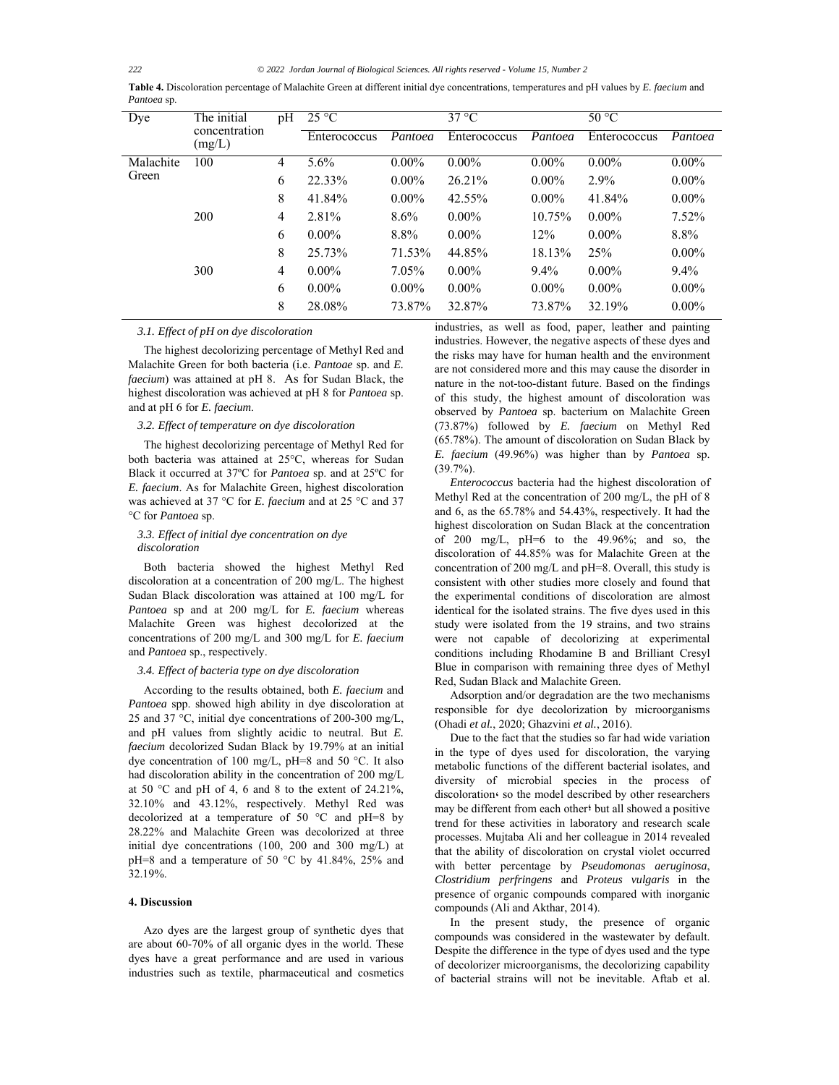*222 © 2022 Jordan Journal of Biological Sciences. All rights reserved - Volume 15, Number 2*

| Table 4. Discoloration percentage of Malachite Green at different initial dye concentrations, temperatures and pH values by E. faecium and |  |
|--------------------------------------------------------------------------------------------------------------------------------------------|--|
| Pantoea sp.                                                                                                                                |  |

| Dye       | The initial<br>concentration<br>(mg/L) | pH             | $25^{\circ}$ C |          | $37^{\circ}$ C |          | 50 °C        |          |
|-----------|----------------------------------------|----------------|----------------|----------|----------------|----------|--------------|----------|
|           |                                        |                | Enterococcus   | Pantoea  | Enterococcus   | Pantoea  | Enterococcus | Pantoea  |
| Malachite | 100                                    | 4              | 5.6%           | $0.00\%$ | $0.00\%$       | $0.00\%$ | $0.00\%$     | $0.00\%$ |
| Green     |                                        | 6              | 22.33%         | $0.00\%$ | 26.21%         | $0.00\%$ | 2.9%         | $0.00\%$ |
|           |                                        | 8              | 41.84%         | $0.00\%$ | 42.55%         | $0.00\%$ | 41.84%       | $0.00\%$ |
|           | 200                                    | $\overline{4}$ | 2.81%          | $8.6\%$  | $0.00\%$       | 10.75%   | $0.00\%$     | 7.52%    |
|           |                                        | 6              | $0.00\%$       | 8.8%     | $0.00\%$       | 12%      | $0.00\%$     | 8.8%     |
|           |                                        | 8              | 25.73%         | 71.53%   | 44.85%         | 18.13%   | 25%          | $0.00\%$ |
|           | 300                                    | $\overline{4}$ | $0.00\%$       | $7.05\%$ | $0.00\%$       | $9.4\%$  | $0.00\%$     | $9.4\%$  |
|           |                                        | 6              | $0.00\%$       | $0.00\%$ | $0.00\%$       | $0.00\%$ | $0.00\%$     | $0.00\%$ |
|           |                                        | 8              | 28.08%         | 73.87%   | 32.87%         | 73.87%   | 32.19%       | $0.00\%$ |

## *3.1. Effect of pH on dye discoloration*

The highest decolorizing percentage of Methyl Red and Malachite Green for both bacteria (i.e. *Pantoae* sp. and *E. faecium*) was attained at pH 8. As for Sudan Black, the highest discoloration was achieved at pH 8 for *Pantoea* sp. and at pH 6 for *E. faecium*.

#### *3.2. Effect of temperature on dye discoloration*

The highest decolorizing percentage of Methyl Red for both bacteria was attained at 25°C, whereas for Sudan Black it occurred at 37ºC for *Pantoea* sp. and at 25ºC for *E. faecium*. As for Malachite Green, highest discoloration was achieved at 37 °C for *E. faecium* and at 25 °C and 37 °C for *Pantoea* sp.

# *3.3. Effect of initial dye concentration on dye discoloration*

Both bacteria showed the highest Methyl Red discoloration at a concentration of 200 mg/L. The highest Sudan Black discoloration was attained at 100 mg/L for *Pantoea* sp and at 200 mg/L for *E. faecium* whereas Malachite Green was highest decolorized at the concentrations of 200 mg/L and 300 mg/L for *E. faecium* and *Pantoea* sp., respectively.

## *3.4. Effect of bacteria type on dye discoloration*

According to the results obtained, both *E. faecium* and *Pantoea* spp. showed high ability in dye discoloration at 25 and 37 °C, initial dye concentrations of 200-300 mg/L, and pH values from slightly acidic to neutral. But *E. faecium* decolorized Sudan Black by 19.79% at an initial dye concentration of 100 mg/L, pH=8 and 50 °C. It also had discoloration ability in the concentration of 200 mg/L at 50  $^{\circ}$ C and pH of 4, 6 and 8 to the extent of 24.21%, 32.10% and 43.12%, respectively. Methyl Red was decolorized at a temperature of 50  $^{\circ}$ C and pH=8 by 28.22% and Malachite Green was decolorized at three initial dye concentrations (100, 200 and 300 mg/L) at pH=8 and a temperature of 50 °C by 41.84%, 25% and 32.19%.

# **4. Discussion**

Azo dyes are the largest group of synthetic dyes that are about 60-70% of all organic dyes in the world. These dyes have a great performance and are used in various industries such as textile, pharmaceutical and cosmetics

industries, as well as food, paper, leather and painting industries. However, the negative aspects of these dyes and the risks may have for human health and the environment are not considered more and this may cause the disorder in nature in the not-too-distant future. Based on the findings of this study, the highest amount of discoloration was observed by *Pantoea* sp. bacterium on Malachite Green (73.87%) followed by *E. faecium* on Methyl Red (65.78%). The amount of discoloration on Sudan Black by *E. faecium* (49.96%) was higher than by *Pantoea* sp. (39.7%).

*Enterococcus* bacteria had the highest discoloration of Methyl Red at the concentration of 200 mg/L, the pH of 8 and 6, as the 65.78% and 54.43%, respectively. It had the highest discoloration on Sudan Black at the concentration of 200 mg/L,  $pH=6$  to the 49.96%; and so, the discoloration of 44.85% was for Malachite Green at the concentration of 200 mg/L and pH=8. Overall, this study is consistent with other studies more closely and found that the experimental conditions of discoloration are almost identical for the isolated strains. The five dyes used in this study were isolated from the 19 strains, and two strains were not capable of decolorizing at experimental conditions including Rhodamine B and Brilliant Cresyl Blue in comparison with remaining three dyes of Methyl Red, Sudan Black and Malachite Green.

Adsorption and/or degradation are the two mechanisms responsible for dye decolorization by microorganisms (Ohadi *et al.*, 2020; Ghazvini *et al.*, 2016).

Due to the fact that the studies so far had wide variation in the type of dyes used for discoloration, the varying metabolic functions of the different bacterial isolates, and diversity of microbial species in the process of discoloration so the model described by other researchers may be different from each other؛ but all showed a positive trend for these activities in laboratory and research scale processes. Mujtaba Ali and her colleague in 2014 revealed that the ability of discoloration on crystal violet occurred with better percentage by *Pseudomonas aeruginosa*, *Clostridium perfringens* and *Proteus vulgaris* in the presence of organic compounds compared with inorganic compounds (Ali and Akthar, 2014).

In the present study, the presence of organic compounds was considered in the wastewater by default. Despite the difference in the type of dyes used and the type of decolorizer microorganisms, the decolorizing capability of bacterial strains will not be inevitable. Aftab et al.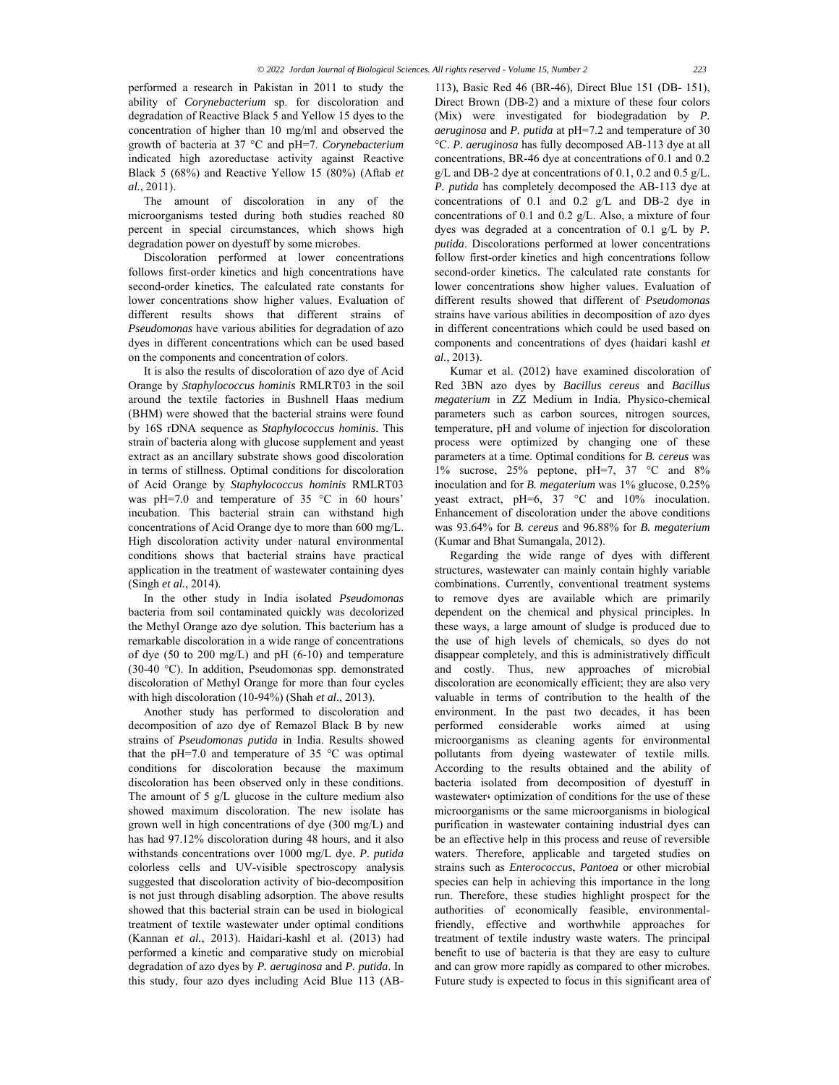performed a research in Pakistan in 2011 to study the ability of *Corynebacterium* sp. for discoloration and degradation of Reactive Black 5 and Yellow 15 dyes to the concentration of higher than 10 mg/ml and observed the growth of bacteria at 37 °C and pH=7. *Corynebacterium* indicated high azoreductase activity against Reactive Black 5 (68%) and Reactive Yellow 15 (80%) (Aftab *et al.*, 2011).

The amount of discoloration in any of the microorganisms tested during both studies reached 80 percent in special circumstances, which shows high degradation power on dyestuff by some microbes.

Discoloration performed at lower concentrations follows first-order kinetics and high concentrations have second-order kinetics. The calculated rate constants for lower concentrations show higher values. Evaluation of different results shows that different strains of *Pseudomonas* have various abilities for degradation of azo dyes in different concentrations which can be used based on the components and concentration of colors.

It is also the results of discoloration of azo dye of Acid Orange by *Staphylococcus hominis* RMLRT03 in the soil around the textile factories in Bushnell Haas medium (BHM) were showed that the bacterial strains were found by 16S rDNA sequence as *Staphylococcus hominis*. This strain of bacteria along with glucose supplement and yeast extract as an ancillary substrate shows good discoloration in terms of stillness. Optimal conditions for discoloration of Acid Orange by *Staphylococcus hominis* RMLRT03 was pH=7.0 and temperature of 35 °C in 60 hours' incubation. This bacterial strain can withstand high concentrations of Acid Orange dye to more than 600 mg/L. High discoloration activity under natural environmental conditions shows that bacterial strains have practical application in the treatment of wastewater containing dyes (Singh *et al.*, 2014).

In the other study in India isolated *Pseudomonas* bacteria from soil contaminated quickly was decolorized the Methyl Orange azo dye solution. This bacterium has a remarkable discoloration in a wide range of concentrations of dye (50 to 200 mg/L) and pH (6-10) and temperature (30-40 °C). In addition, Pseudomonas spp. demonstrated discoloration of Methyl Orange for more than four cycles with high discoloration (10-94%) (Shah *et al.*, 2013).

Another study has performed to discoloration and decomposition of azo dye of Remazol Black B by new strains of *Pseudomonas putida* in India. Results showed that the pH=7.0 and temperature of 35  $^{\circ}$ C was optimal conditions for discoloration because the maximum discoloration has been observed only in these conditions. The amount of 5 g/L glucose in the culture medium also showed maximum discoloration. The new isolate has grown well in high concentrations of dye (300 mg/L) and has had 97.12% discoloration during 48 hours, and it also withstands concentrations over 1000 mg/L dye. *P. putida* colorless cells and UV-visible spectroscopy analysis suggested that discoloration activity of bio-decomposition is not just through disabling adsorption. The above results showed that this bacterial strain can be used in biological treatment of textile wastewater under optimal conditions (Kannan *et al.*, 2013). Haidari-kashl et al. (2013) had performed a kinetic and comparative study on microbial degradation of azo dyes by *P. aeruginosa* and *P. putida*. In this study, four azo dyes including Acid Blue 113 (AB-

113), Basic Red 46 (BR-46), Direct Blue 151 (DB- 151), Direct Brown (DB-2) and a mixture of these four colors (Mix) were investigated for biodegradation by *P. aeruginosa* and *P. putida* at pH=7.2 and temperature of 30 °C. *P. aeruginosa* has fully decomposed AB-113 dye at all concentrations, BR-46 dye at concentrations of 0.1 and 0.2 g/L and DB-2 dye at concentrations of 0.1, 0.2 and 0.5 g/L. *P. putida* has completely decomposed the AB-113 dye at concentrations of 0.1 and 0.2 g/L and DB-2 dye in concentrations of 0.1 and 0.2 g/L. Also, a mixture of four dyes was degraded at a concentration of 0.1 g/L by *P. putida*. Discolorations performed at lower concentrations follow first-order kinetics and high concentrations follow second-order kinetics. The calculated rate constants for lower concentrations show higher values. Evaluation of different results showed that different of *Pseudomonas* strains have various abilities in decomposition of azo dyes in different concentrations which could be used based on components and concentrations of dyes (haidari kashl *et al.*, 2013).

Kumar et al. (2012) have examined discoloration of Red 3BN azo dyes by *Bacillus cereus* and *Bacillus megaterium* in ZZ Medium in India. Physico-chemical parameters such as carbon sources, nitrogen sources, temperature, pH and volume of injection for discoloration process were optimized by changing one of these parameters at a time. Optimal conditions for *B. cereus* was 1% sucrose, 25% peptone, pH=7, 37 °C and 8% inoculation and for *B. megaterium* was 1% glucose, 0.25% yeast extract, pH=6, 37 °C and 10% inoculation. Enhancement of discoloration under the above conditions was 93.64% for *B. cereus* and 96.88% for *B. megaterium* (Kumar and Bhat Sumangala, 2012).

Regarding the wide range of dyes with different structures, wastewater can mainly contain highly variable combinations. Currently, conventional treatment systems to remove dyes are available which are primarily dependent on the chemical and physical principles. In these ways, a large amount of sludge is produced due to the use of high levels of chemicals, so dyes do not disappear completely, and this is administratively difficult and costly. Thus, new approaches of microbial discoloration are economically efficient; they are also very valuable in terms of contribution to the health of the environment. In the past two decades, it has been performed considerable works aimed at using microorganisms as cleaning agents for environmental pollutants from dyeing wastewater of textile mills. According to the results obtained and the ability of bacteria isolated from decomposition of dyestuff in wastewater optimization of conditions for the use of these microorganisms or the same microorganisms in biological purification in wastewater containing industrial dyes can be an effective help in this process and reuse of reversible waters. Therefore, applicable and targeted studies on strains such as *Enterococcus*, *Pantoea* or other microbial species can help in achieving this importance in the long run. Therefore, these studies highlight prospect for the authorities of economically feasible, environmentalfriendly, effective and worthwhile approaches for treatment of textile industry waste waters. The principal benefit to use of bacteria is that they are easy to culture and can grow more rapidly as compared to other microbes. Future study is expected to focus in this significant area of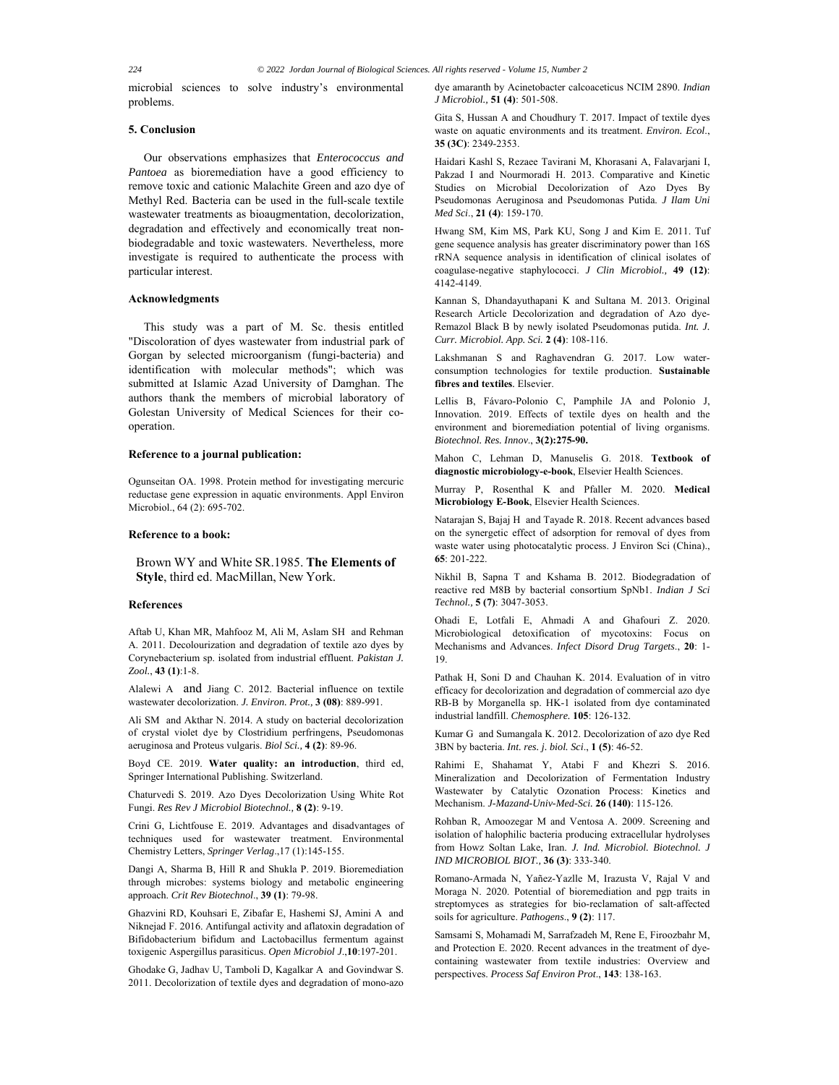microbial sciences to solve industry's environmental problems.

# **5. Conclusion**

Our observations emphasizes that *Enterococcus and Pantoea* as bioremediation have a good efficiency to remove toxic and cationic Malachite Green and azo dye of Methyl Red. Bacteria can be used in the full-scale textile wastewater treatments as bioaugmentation, decolorization, degradation and effectively and economically treat nonbiodegradable and toxic wastewaters. Nevertheless, more investigate is required to authenticate the process with particular interest.

# **Acknowledgments**

This study was a part of M. Sc. thesis entitled "Discoloration of dyes wastewater from industrial park of Gorgan by selected microorganism (fungi-bacteria) and identification with molecular methods"; which was submitted at Islamic Azad University of Damghan. The authors thank the members of microbial laboratory of Golestan University of Medical Sciences for their cooperation.

#### **Reference to a journal publication:**

Ogunseitan OA. 1998. Protein method for investigating mercuric reductase gene expression in aquatic environments. Appl Environ Microbiol., 64 (2): 695-702.

## **Reference to a book:**

Brown WY and White SR.1985. **The Elements of Style**, third ed. MacMillan, New York.

## **References**

Aftab U, Khan MR, Mahfooz M, Ali M, Aslam SH and Rehman A. 2011. Decolourization and degradation of textile azo dyes by Corynebacterium sp. isolated from industrial effluent. *Pakistan J. Zool.*, **43 (1)**:1-8.

Alalewi A and Jiang C. 2012. Bacterial influence on textile wastewater decolorization. *J. Environ. Prot.,* **3 (08)**: 889-991.

Ali SM and Akthar N. 2014. A study on bacterial decolorization of crystal violet dye by Clostridium perfringens, Pseudomonas aeruginosa and Proteus vulgaris. *Biol Sci.,* **4 (2)**: 89-96.

Boyd CE. 2019. **Water quality: an introduction**, third ed, Springer International Publishing. Switzerland.

Chaturvedi S. 2019. Azo Dyes Decolorization Using White Rot Fungi. *Res Rev J Microbiol Biotechnol.,* **8 (2)**: 9-19.

Crini G, Lichtfouse E. 2019. Advantages and disadvantages of techniques used for wastewater treatment. Environmental Chemistry Letters, *Springer Verlag*.,17 (1):145-155.

Dangi A, Sharma B, Hill R and Shukla P. 2019. Bioremediation through microbes: systems biology and metabolic engineering approach. *Crit Rev Biotechnol*., **39 (1)**: 79-98.

Ghazvini RD, Kouhsari E, Zibafar E, Hashemi SJ, Amini A and Niknejad F. 2016. Antifungal activity and aflatoxin degradation of Bifidobacterium bifidum and Lactobacillus fermentum against toxigenic Aspergillus parasiticus. *Open Microbiol J*.,**10**:197-201.

Ghodake G, Jadhav U, Tamboli D, Kagalkar A and Govindwar S. 2011. Decolorization of textile dyes and degradation of mono-azo dye amaranth by Acinetobacter calcoaceticus NCIM 2890. *Indian J Microbiol.,* **51 (4)**: 501-508.

Gita S, Hussan A and Choudhury T. 2017. Impact of textile dyes waste on aquatic environments and its treatment. *Environ. Ecol*., **35 (3C)**: 2349-2353.

Haidari Kashl S, Rezaee Tavirani M, Khorasani A, Falavarjani I, Pakzad I and Nourmoradi H. 2013. Comparative and Kinetic Studies on Microbial Decolorization of Azo Dyes By Pseudomonas Aeruginosa and Pseudomonas Putida. *J Ilam Uni Med Sci*., **21 (4)**: 159-170.

Hwang SM, Kim MS, Park KU, Song J and Kim E. 2011. Tuf gene sequence analysis has greater discriminatory power than 16S rRNA sequence analysis in identification of clinical isolates of coagulase-negative staphylococci. *J Clin Microbiol.,* **49 (12)**: 4142-4149.

Kannan S, Dhandayuthapani K and Sultana M. 2013. Original Research Article Decolorization and degradation of Azo dye-Remazol Black B by newly isolated Pseudomonas putida. *Int. J. Curr. Microbiol. App. Sci.* **2 (4)**: 108-116.

Lakshmanan S and Raghavendran G. 2017. Low waterconsumption technologies for textile production. **Sustainable fibres and textiles***.* Elsevier.

Lellis B, Fávaro-Polonio C, Pamphile JA and Polonio J, Innovation. 2019. Effects of textile dyes on health and the environment and bioremediation potential of living organisms. *Biotechnol. Res. Innov*., **3(2):275-90.** 

Mahon C, Lehman D, Manuselis G. 2018. **Textbook of diagnostic microbiology-e-book**, Elsevier Health Sciences.

Murray P, Rosenthal K and Pfaller M. 2020. **Medical Microbiology E-Book**, Elsevier Health Sciences.

Natarajan S, Bajaj H and Tayade R. 2018. Recent advances based on the synergetic effect of adsorption for removal of dyes from waste water using photocatalytic process. J Environ Sci (China)., **65**: 201-222.

Nikhil B, Sapna T and Kshama B. 2012. Biodegradation of reactive red M8B by bacterial consortium SpNb1. *Indian J Sci Technol.,* **5 (7)**: 3047-3053.

Ohadi E, Lotfali E, Ahmadi A and Ghafouri Z. 2020. Microbiological detoxification of mycotoxins: Focus on Mechanisms and Advances. *Infect Disord Drug Targets*., **20**: 1- 19.

Pathak H, Soni D and Chauhan K. 2014. Evaluation of in vitro efficacy for decolorization and degradation of commercial azo dye RB-B by Morganella sp. HK-1 isolated from dye contaminated industrial landfill. *Chemosphere.* **105**: 126-132.

Kumar G and Sumangala K. 2012. Decolorization of azo dye Red 3BN by bacteria. *Int. res. j. biol. Sci*., **1 (5)**: 46-52.

Rahimi E, Shahamat Y, Atabi F and Khezri S. 2016. Mineralization and Decolorization of Fermentation Industry Wastewater by Catalytic Ozonation Process: Kinetics and Mechanism. *J-Mazand-Univ-Med-Sci.* **26 (140)**: 115-126.

Rohban R, Amoozegar M and Ventosa A. 2009. Screening and isolation of halophilic bacteria producing extracellular hydrolyses from Howz Soltan Lake, Iran. *J. Ind. Microbiol. Biotechnol. J IND MICROBIOL BIOT.,* **36 (3)**: 333-340.

Romano-Armada N, Yañez-Yazlle M, Irazusta V, Rajal V and Moraga N. 2020. Potential of bioremediation and pgp traits in streptomyces as strategies for bio-reclamation of salt-affected soils for agriculture. *Pathogens*., **9 (2)**: 117.

Samsami S, Mohamadi M, Sarrafzadeh M, Rene E, Firoozbahr M, and Protection E. 2020. Recent advances in the treatment of dyecontaining wastewater from textile industries: Overview and perspectives. *Process Saf Environ Prot*., **143**: 138-163.